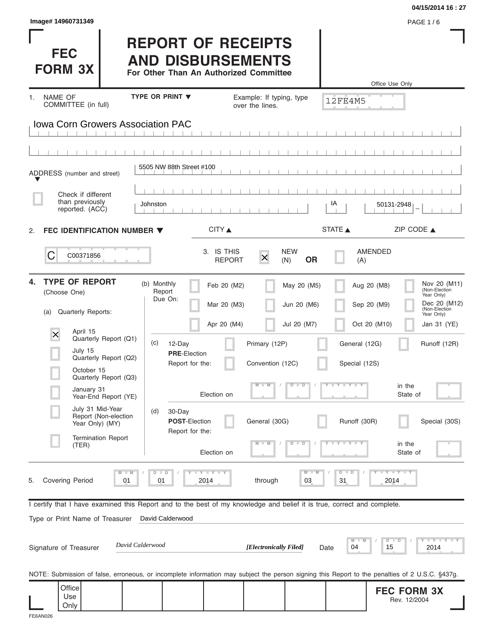|                                                                                                                                                |                                                                                                 |                            |                                             |                            |                                | 04/15/2014 16:27                                                                                           |
|------------------------------------------------------------------------------------------------------------------------------------------------|-------------------------------------------------------------------------------------------------|----------------------------|---------------------------------------------|----------------------------|--------------------------------|------------------------------------------------------------------------------------------------------------|
| Image# 14960731349                                                                                                                             |                                                                                                 |                            |                                             |                            |                                | <b>PAGE 1/6</b>                                                                                            |
| <b>FEC</b><br><b>FORM 3X</b>                                                                                                                   | <b>REPORT OF RECEIPTS</b><br><b>AND DISBURSEMENTS</b><br>For Other Than An Authorized Committee |                            |                                             |                            |                                |                                                                                                            |
|                                                                                                                                                |                                                                                                 |                            |                                             |                            |                                | Office Use Only                                                                                            |
| NAME OF<br>1.<br>COMMITTEE (in full)                                                                                                           | TYPE OR PRINT V                                                                                 |                            | Example: If typing, type<br>over the lines. |                            | 12FE4M5                        |                                                                                                            |
| <b>Iowa Corn Growers Association PAC</b>                                                                                                       |                                                                                                 |                            |                                             |                            |                                |                                                                                                            |
|                                                                                                                                                |                                                                                                 |                            |                                             |                            |                                |                                                                                                            |
|                                                                                                                                                |                                                                                                 |                            |                                             |                            |                                |                                                                                                            |
| ADDRESS (number and street)                                                                                                                    | 5505 NW 88th Street #100                                                                        |                            |                                             |                            |                                |                                                                                                            |
| Check if different                                                                                                                             |                                                                                                 |                            |                                             |                            |                                |                                                                                                            |
| than previously<br>reported. (ACC)                                                                                                             | Johnston                                                                                        |                            |                                             |                            | IA                             | 50131-2948                                                                                                 |
| FEC IDENTIFICATION NUMBER ▼<br>2.                                                                                                              |                                                                                                 | CITY                       |                                             |                            | STATE A                        | ZIP CODE $\triangle$                                                                                       |
|                                                                                                                                                |                                                                                                 | 3. IS THIS                 |                                             | <b>NEW</b>                 |                                | AMENDED                                                                                                    |
| C<br>C00371856                                                                                                                                 |                                                                                                 | <b>REPORT</b>              | $\boldsymbol{\times}$                       | <b>OR</b><br>(N)           | (A)                            |                                                                                                            |
| <b>TYPE OF REPORT</b><br>4.<br>(Choose One)                                                                                                    | (b) Monthly<br>Report<br>Due On:                                                                | Feb 20 (M2)<br>Mar 20 (M3) |                                             | May 20 (M5)<br>Jun 20 (M6) |                                | Nov 20 (M11)<br>Aug 20 (M8)<br>(Non-Election<br>Year Only)<br>Dec 20 (M12)<br>Sep 20 (M9)<br>(Non-Election |
| Quarterly Reports:<br>(a)                                                                                                                      |                                                                                                 | Apr 20 (M4)                |                                             | Jul 20 (M7)                |                                | Year Only)<br>Oct 20 (M10)<br>Jan 31 (YE)                                                                  |
| April 15<br>X<br>Quarterly Report (Q1)                                                                                                         | (c)<br>12-Day                                                                                   |                            | Primary (12P)                               |                            | General (12G)                  | Runoff (12R)                                                                                               |
| July 15<br>Quarterly Report (Q2)                                                                                                               | <b>PRE-Election</b><br>Report for the:                                                          |                            | Convention (12C)                            |                            | Special (12S)                  |                                                                                                            |
| October 15<br>Quarterly Report (Q3)                                                                                                            |                                                                                                 |                            |                                             |                            |                                |                                                                                                            |
| January 31<br>Year-End Report (YE)                                                                                                             |                                                                                                 | Election on                | $\blacksquare$                              | $D$ $D$                    | Y F Y L Y L                    | in the<br>State of                                                                                         |
| July 31 Mid-Year<br>Report (Non-election<br>Year Only) (MY)                                                                                    | (d)<br>30-Day<br>POST-Election<br>Report for the:                                               |                            | General (30G)                               |                            | Runoff (30R)                   | Special (30S)                                                                                              |
| <b>Termination Report</b><br>(TER)                                                                                                             |                                                                                                 | Election on                |                                             | т<br>−⊃                    |                                | in the<br>State of                                                                                         |
| $M - M$<br><b>Covering Period</b><br>01<br>5.                                                                                                  | $D$ $D$<br>01                                                                                   | <b>LY LY LY</b><br>2014    | through                                     | $M - M$<br>03              | $\overline{D}$<br>$\Box$<br>31 | $T - Y$ $T - Y$ $T - Y$<br>2014                                                                            |
| I certify that I have examined this Report and to the best of my knowledge and belief it is true, correct and complete.                        |                                                                                                 |                            |                                             |                            |                                |                                                                                                            |
| Type or Print Name of Treasurer                                                                                                                | David Calderwood                                                                                |                            |                                             |                            |                                |                                                                                                            |
| Signature of Treasurer                                                                                                                         | David Calderwood                                                                                |                            | [Electronically Filed]                      |                            | M<br>04<br>Date                | $Y = I - Y = I - Y = I$<br>$D$ $D$<br>15<br>2014                                                           |
| NOTE: Submission of false, erroneous, or incomplete information may subject the person signing this Report to the penalties of 2 U.S.C. §437g. |                                                                                                 |                            |                                             |                            |                                |                                                                                                            |
| Office<br>Use                                                                                                                                  |                                                                                                 |                            |                                             |                            |                                | <b>FEC FORM 3X</b><br>Rev. 12/2004                                                                         |
| Only                                                                                                                                           |                                                                                                 |                            |                                             |                            |                                |                                                                                                            |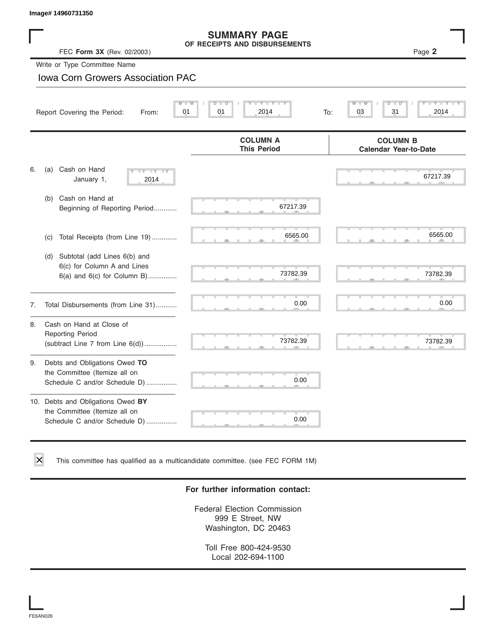| Image# 14960731350                                                                                    |                                                                      |                                                 |
|-------------------------------------------------------------------------------------------------------|----------------------------------------------------------------------|-------------------------------------------------|
| FEC Form 3X (Rev. 02/2003)                                                                            | <b>SUMMARY PAGE</b><br>OF RECEIPTS AND DISBURSEMENTS                 | Page 2                                          |
| Write or Type Committee Name                                                                          |                                                                      |                                                 |
| <b>Iowa Corn Growers Association PAC</b>                                                              |                                                                      |                                                 |
| Report Covering the Period:<br>From:                                                                  | $Y - Y$<br>M<br>$\overline{D}$<br>$\overline{D}$<br>01<br>01<br>2014 | D<br>03<br>31<br>2014<br>To:                    |
|                                                                                                       | <b>COLUMN A</b><br><b>This Period</b>                                | <b>COLUMN B</b><br><b>Calendar Year-to-Date</b> |
| Cash on Hand<br>6.<br>(a)<br>$-Y$<br>$- Y$<br>$\overline{\phantom{a}}$<br>January 1,<br>2014          |                                                                      | 67217.39                                        |
| Cash on Hand at<br>(b)<br>Beginning of Reporting Period                                               | 67217.39                                                             |                                                 |
| Total Receipts (from Line 19)<br>(c)                                                                  | 6565.00                                                              | 6565.00                                         |
| Subtotal (add Lines 6(b) and<br>(d)<br>6(c) for Column A and Lines<br>$6(a)$ and $6(c)$ for Column B) | 73782.39                                                             | 73782.39                                        |
| Total Disbursements (from Line 31)<br>7.                                                              | 0.00                                                                 | 0.00                                            |
| Cash on Hand at Close of<br>8.<br><b>Reporting Period</b><br>(subtract Line $7$ from Line $6(d)$ )    | 73782.39                                                             | 73782.39                                        |
| Debts and Obligations Owed TO<br>9.<br>the Committee (Itemize all on<br>Schedule C and/or Schedule D) | 0.00                                                                 |                                                 |

10. Debts and Obligations Owed **BY** the Committee (Itemize all on Schedule C and/or Schedule D) ................

This committee has qualified as a multicandidate committee. (see FEC FORM 1M)

#### **For further information contact:**

S S S , , .

0.00

Federal Election Commission 999 E Street, NW Washington, DC 20463

Toll Free 800-424-9530 Local 202-694-1100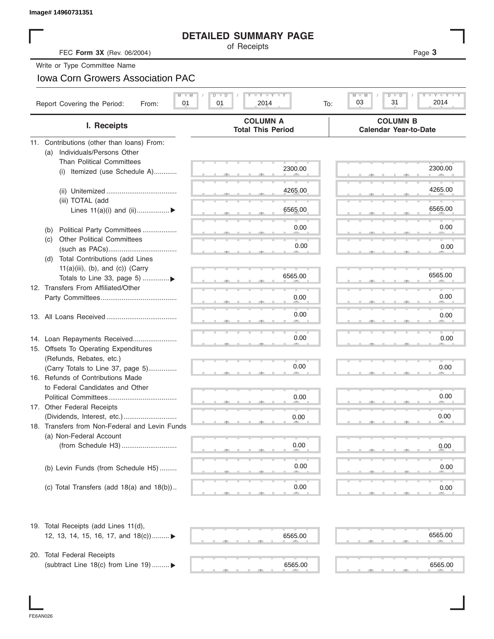|                                                                        | <b>DETAILED SUMMARY PAGE</b><br>of Receipts |                                                 |
|------------------------------------------------------------------------|---------------------------------------------|-------------------------------------------------|
| FEC Form 3X (Rev. 06/2004)                                             |                                             | Page 3                                          |
| Write or Type Committee Name                                           |                                             |                                                 |
| <b>Iowa Corn Growers Association PAC</b>                               |                                             |                                                 |
| $M - M$                                                                | <b>LY LY LY</b><br>$D$ $D$                  | Y FYLY<br>$M - M$<br>$D$ $D$                    |
| Report Covering the Period:<br>01<br>From:                             | 01<br>2014<br>To:                           | 03<br>31<br>2014                                |
| I. Receipts                                                            | <b>COLUMN A</b><br><b>Total This Period</b> | <b>COLUMN B</b><br><b>Calendar Year-to-Date</b> |
| 11. Contributions (other than loans) From:                             |                                             |                                                 |
| Individuals/Persons Other<br>(a)                                       |                                             |                                                 |
| <b>Than Political Committees</b>                                       | 2300.00                                     | 2300.00                                         |
| (i) Itemized (use Schedule A)                                          |                                             |                                                 |
|                                                                        | 4265.00                                     | 4265.00                                         |
| (iii) TOTAL (add                                                       |                                             |                                                 |
| Lines $11(a)(i)$ and $(ii)$                                            | 6565.00                                     | 6565.00                                         |
|                                                                        | 0.00                                        | 0.00                                            |
| Political Party Committees<br>(b)<br><b>Other Political Committees</b> |                                             |                                                 |
| (C)                                                                    | 0.00                                        | 0.00                                            |
| Total Contributions (add Lines<br>(d)                                  |                                             |                                                 |
| $11(a)(iii)$ , (b), and (c)) (Carry                                    |                                             |                                                 |
| Totals to Line 33, page 5) ▶                                           | 6565.00                                     | 6565.00                                         |
| 12. Transfers From Affiliated/Other                                    |                                             | 0.00                                            |
|                                                                        | 0.00                                        |                                                 |
|                                                                        | 0.00                                        | 0.00                                            |
|                                                                        |                                             |                                                 |
| 14. Loan Repayments Received                                           | 0.00                                        | 0.00                                            |
| 15. Offsets To Operating Expenditures                                  |                                             |                                                 |
| (Refunds, Rebates, etc.)                                               | 0.00                                        |                                                 |
| (Carry Totals to Line 37, page 5)                                      |                                             | 0.00                                            |
| 16. Refunds of Contributions Made<br>to Federal Candidates and Other   |                                             |                                                 |
| Political Committees                                                   | 0.00                                        | 0.00                                            |
| 17. Other Federal Receipts                                             |                                             |                                                 |
|                                                                        | 0.00                                        | 0.00                                            |
| 18. Transfers from Non-Federal and Levin Funds                         |                                             |                                                 |
| (a) Non-Federal Account                                                | 0.00                                        |                                                 |
|                                                                        |                                             | 0.00                                            |
| (b) Levin Funds (from Schedule H5)                                     | 0.00                                        | 0.00                                            |
|                                                                        |                                             |                                                 |
| (c) Total Transfers (add $18(a)$ and $18(b)$ )                         | 0.00                                        | 0.00                                            |
|                                                                        |                                             |                                                 |
| 19. Total Receipts (add Lines 11(d),                                   |                                             | 6565.00                                         |
| 12, 13, 14, 15, 16, 17, and $18(c)$                                    | 6565.00                                     |                                                 |
| 20. Total Federal Receipts                                             |                                             |                                                 |
|                                                                        | 6565.00                                     | 6565.00                                         |

I

FE6AN026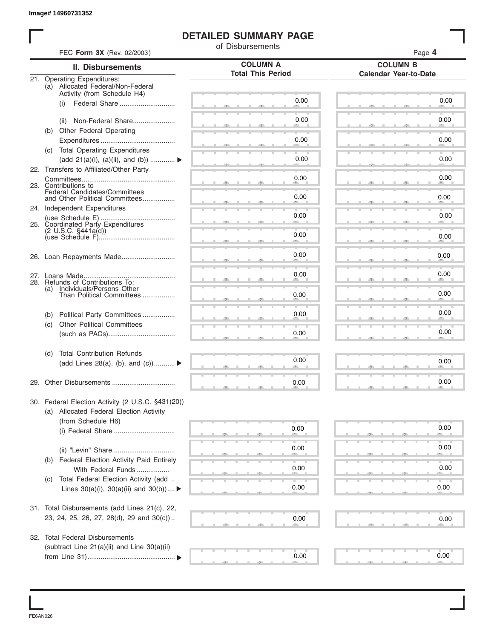## **DETAILED SUMMARY PAGE**

|                                                               |                                                                                     | of Disbursements         |                              |
|---------------------------------------------------------------|-------------------------------------------------------------------------------------|--------------------------|------------------------------|
|                                                               | FEC Form 3X (Rev. 02/2003)                                                          | <b>COLUMN A</b>          | Page 4<br><b>COLUMN B</b>    |
| 21. Operating Expenditures:                                   | <b>II. Disbursements</b>                                                            | <b>Total This Period</b> | <b>Calendar Year-to-Date</b> |
|                                                               | (a) Allocated Federal/Non-Federal<br>Activity (from Schedule H4)                    |                          |                              |
| (i)                                                           |                                                                                     | 0.00                     | 0.00                         |
| (ii)                                                          | Non-Federal Share<br>(b) Other Federal Operating                                    | 0.00                     | 0.00                         |
|                                                               |                                                                                     | 0.00                     | 0.00                         |
|                                                               | (c) Total Operating Expenditures<br>(add 21(a)(i), (a)(ii), and (b))                | 0.00                     | 0.00                         |
|                                                               | 22. Transfers to Affiliated/Other Party                                             | 0.00                     | 0.00                         |
| 23. Contributions to                                          | Federal Candidates/Committees<br>and Other Political Committees                     | 0.00                     | 0.00                         |
|                                                               | 24. Independent Expenditures                                                        | 0.00                     | 0.00                         |
|                                                               | 25. Coordinated Party Expenditures                                                  |                          |                              |
|                                                               |                                                                                     | 0.00                     | 0.00                         |
|                                                               |                                                                                     | 0.00                     | 0.00                         |
|                                                               | 28. Refunds of Contributions To:                                                    | 0.00                     | 0.00                         |
| Individuals/Persons Other<br>(a)<br>Than Political Committees |                                                                                     | 0.00                     | 0.00                         |
| (b)                                                           | Political Party Committees                                                          | 0.00                     | 0.00                         |
| (c)                                                           | <b>Other Political Committees</b>                                                   | 0.00                     | 0.00                         |
| (d)                                                           | <b>Total Contribution Refunds</b>                                                   |                          |                              |
|                                                               | (add Lines 28(a), (b), and (c))                                                     | 0.00                     | 0.00                         |
|                                                               |                                                                                     | 0.00                     | 0.00                         |
|                                                               | 30. Federal Election Activity (2 U.S.C. §431(20))                                   |                          |                              |
|                                                               | (a) Allocated Federal Election Activity<br>(from Schedule H6)                       |                          |                              |
|                                                               |                                                                                     | 0.00                     | 0.00                         |
|                                                               |                                                                                     | 0.00                     | 0.00                         |
| (b)                                                           | Federal Election Activity Paid Entirely<br>With Federal Funds                       | 0.00                     | 0.00                         |
| (C)                                                           | Total Federal Election Activity (add<br>Lines $30(a)(i)$ , $30(a)(ii)$ and $30(b))$ | 0.00                     | 0.00                         |
|                                                               | 31. Total Disbursements (add Lines 21(c), 22,                                       |                          |                              |
|                                                               | 23, 24, 25, 26, 27, 28(d), 29 and 30(c))                                            | 0.00                     | 0.00                         |
|                                                               | 32. Total Federal Disbursements                                                     |                          |                              |
|                                                               | (subtract Line 21(a)(ii) and Line 30(a)(ii)                                         | 0.00                     | 0.00                         |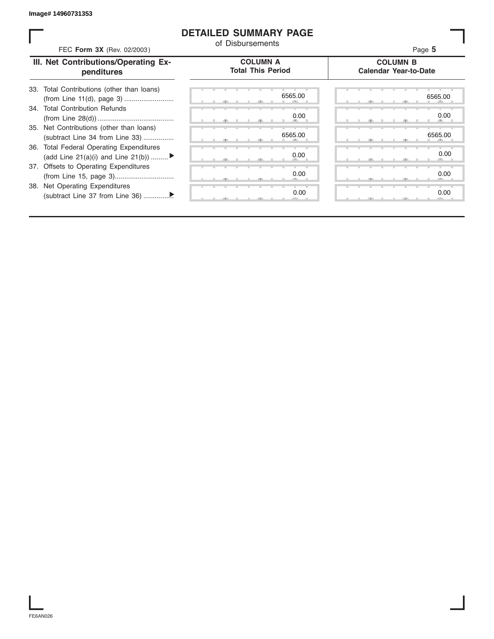### **DETAILED SUMMARY PAGE**

| FEC Form 3X (Rev. 02/2003)                                                     | of Disbursements                            | Page 5                                          |  |
|--------------------------------------------------------------------------------|---------------------------------------------|-------------------------------------------------|--|
| III. Net Contributions/Operating Ex-<br>penditures                             | <b>COLUMN A</b><br><b>Total This Period</b> | <b>COLUMN B</b><br><b>Calendar Year-to-Date</b> |  |
| 33. Total Contributions (other than loans)<br>(from Line 11(d), page 3)        | 6565.00                                     | 6565.00                                         |  |
| 34. Total Contribution Refunds                                                 | 0.00                                        | 0.00                                            |  |
| 35. Net Contributions (other than loans)<br>(subtract Line 34 from Line 33)    | 6565.00                                     | 6565.00                                         |  |
| 36. Total Federal Operating Expenditures<br>(add Line 21(a)(i) and Line 21(b)) | 0.00                                        | 0.00                                            |  |
| 37. Offsets to Operating Expenditures                                          | 0.00                                        | 0.00                                            |  |
| 38. Net Operating Expenditures                                                 | 0.00                                        | 0.00                                            |  |